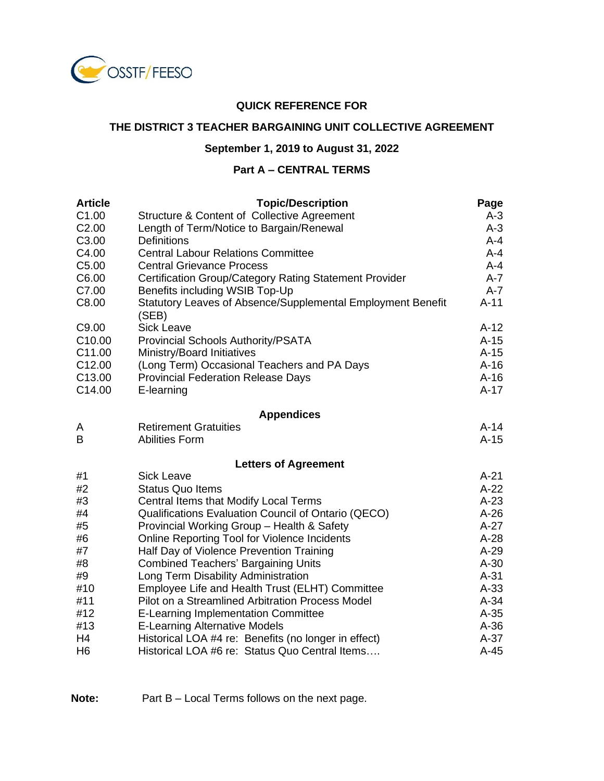

#### **QUICK REFERENCE FOR**

#### **THE DISTRICT 3 TEACHER BARGAINING UNIT COLLECTIVE AGREEMENT**

# **September 1, 2019 to August 31, 2022**

# **Part A – CENTRAL TERMS**

| <b>Article</b>    | <b>Topic/Description</b>                                             | Page    |
|-------------------|----------------------------------------------------------------------|---------|
| C <sub>1.00</sub> | Structure & Content of Collective Agreement                          | $A-3$   |
| C <sub>2.00</sub> | Length of Term/Notice to Bargain/Renewal                             | $A-3$   |
| C <sub>3.00</sub> | <b>Definitions</b>                                                   | $A - 4$ |
| C4.00             | <b>Central Labour Relations Committee</b>                            | $A - 4$ |
| C <sub>5.00</sub> | <b>Central Grievance Process</b>                                     | $A - 4$ |
| C6.00             | Certification Group/Category Rating Statement Provider               | $A - 7$ |
| C7.00             | Benefits including WSIB Top-Up                                       | $A - 7$ |
| C8.00             | Statutory Leaves of Absence/Supplemental Employment Benefit<br>(SEB) | $A-11$  |
| C9.00             | <b>Sick Leave</b>                                                    | $A-12$  |
| C10.00            | Provincial Schools Authority/PSATA                                   | $A-15$  |
| C11.00            | Ministry/Board Initiatives                                           | $A-15$  |
| C12.00            | (Long Term) Occasional Teachers and PA Days                          | $A-16$  |
| C13.00            | <b>Provincial Federation Release Days</b>                            | $A-16$  |
| C14.00            | E-learning                                                           | $A-17$  |
|                   | <b>Appendices</b>                                                    |         |
| A                 | <b>Retirement Gratuities</b>                                         | $A-14$  |
| B                 | <b>Abilities Form</b>                                                | $A-15$  |
|                   | <b>Letters of Agreement</b>                                          |         |
| #1                | <b>Sick Leave</b>                                                    | $A-21$  |
| #2                | <b>Status Quo Items</b>                                              | $A-22$  |
| #3                | Central Items that Modify Local Terms                                | $A-23$  |
| #4                | Qualifications Evaluation Council of Ontario (QECO)                  | $A-26$  |
| #5                | Provincial Working Group - Health & Safety                           | $A-27$  |
| #6                | Online Reporting Tool for Violence Incidents                         | $A-28$  |
| #7                | Half Day of Violence Prevention Training                             | $A-29$  |
| #8                | <b>Combined Teachers' Bargaining Units</b>                           | $A-30$  |
| #9                | Long Term Disability Administration                                  | $A-31$  |
| #10               | Employee Life and Health Trust (ELHT) Committee                      | $A-33$  |
| #11               | Pilot on a Streamlined Arbitration Process Model                     | $A-34$  |
| #12               | <b>E-Learning Implementation Committee</b>                           | $A-35$  |
| #13               | <b>E-Learning Alternative Models</b>                                 | $A-36$  |
| H <sub>4</sub>    | Historical LOA #4 re: Benefits (no longer in effect)                 | $A-37$  |
| H <sub>6</sub>    | Historical LOA #6 re: Status Quo Central Items                       | $A-45$  |

**Note:** Part B – Local Terms follows on the next page.